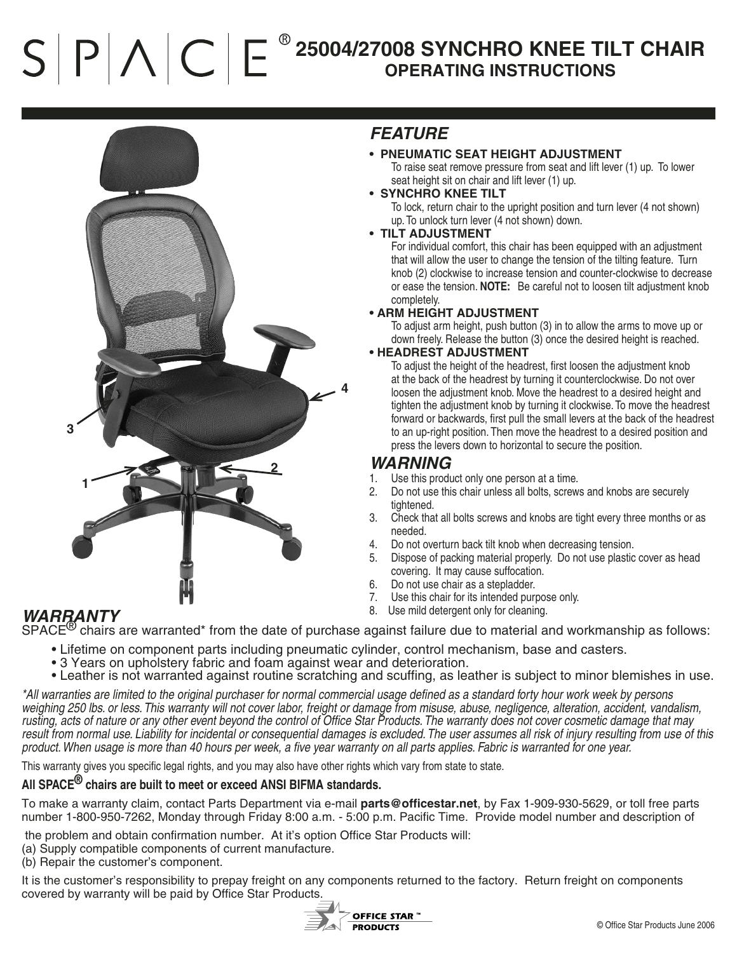# $S$   $P$   $\wedge$   $C$   $E^*$ **25004/27008 SYNCHRO KNEE TILT CHAIR OPERATING INSTRUCTIONS**



# *FEATURE*

- **PNEUMATIC SEAT HEIGHT ADJUSTMENT** To raise seat remove pressure from seat and lift lever (1) up. To lower seat height sit on chair and lift lever (1) up.
- **SYNCHRO KNEE TILT**

 To lock, return chair to the upright position and turn lever (4 not shown) up. To unlock turn lever (4 not shown) down.

### **• TILT ADJUSTMENT**

For individual comfort, this chair has been equipped with an adjustment that will allow the user to change the tension of the tilting feature. Turn knob (2) clockwise to increase tension and counter-clockwise to decrease or ease the tension. **NOTE:** Be careful not to loosen tilt adjustment knob completely.

### **• ARM HEIGHT ADJUSTMENT**

To adjust arm height, push button (3) in to allow the arms to move up or down freely. Release the button (3) once the desired height is reached.

#### **• HEADREST ADJUSTMENT**

To adjust the height of the headrest, first loosen the adjustment knob at the back of the headrest by turning it counterclockwise. Do not over loosen the adjustment knob. Move the headrest to a desired height and tighten the adjustment knob by turning it clockwise. To move the headrest forward or backwards, first pull the small levers at the back of the headrest to an up-right position. Then move the headrest to a desired position and press the levers down to horizontal to secure the position.

# *WARNING*<br>1. Use this produ

- Use this product only one person at a time.
- 2. Do not use this chair unless all bolts, screws and knobs are securely tightened.
- 3. Check that all bolts screws and knobs are tight every three months or as needed.
- 4. Do not overturn back tilt knob when decreasing tension.
- 5. Dispose of packing material properly. Do not use plastic cover as head covering. It may cause suffocation.
- 6. Do not use chair as a stepladder.
- 7. Use this chair for its intended purpose only.
- 8. Use mild detergent only for cleaning.

## *WARRANTY*

 $SPACE<sup>(8)</sup>$  chairs are warranted\* from the date of purchase against failure due to material and workmanship as follows:

- Lifetime on component parts including pneumatic cylinder, control mechanism, base and casters.
- 3 Years on upholstery fabric and foam against wear and deterioration.
- Leather is not warranted against routine scratching and scuffing, as leather is subject to minor blemishes in use.

*\*All warranties are limited to the original purchaser for normal commercial usage defined as a standard forty hour work week by persons weighing 250 lbs. or less. This warranty will not cover labor, freight or damage from misuse, abuse, negligence, alteration, accident, vandalism, rusting, acts of nature or any other event beyond the control of Office Star Products. The warranty does not cover cosmetic damage that may result from normal use. Liability for incidental or consequential damages is excluded. The user assumes all risk of injury resulting from use of this product. When usage is more than 40 hours per week, a five year warranty on all parts applies. Fabric is warranted for one year.*

This warranty gives you specific legal rights, and you may also have other rights which vary from state to state.

### **All SPACE® chairs are built to meet or exceed ANSI BIFMA standards.**

To make a warranty claim, contact Parts Department via e-mail **parts@officestar.net**, by Fax 1-909-930-5629, or toll free parts number 1-800-950-7262, Monday through Friday 8:00 a.m. - 5:00 p.m. Pacific Time. Provide model number and description of

the problem and obtain confirmation number. At it's option Office Star Products will:

- (a) Supply compatible components of current manufacture.
- (b) Repair the customer's component.

It is the customer's responsibility to prepay freight on any components returned to the factory. Return freight on components covered by warranty will be paid by Office Star Products.